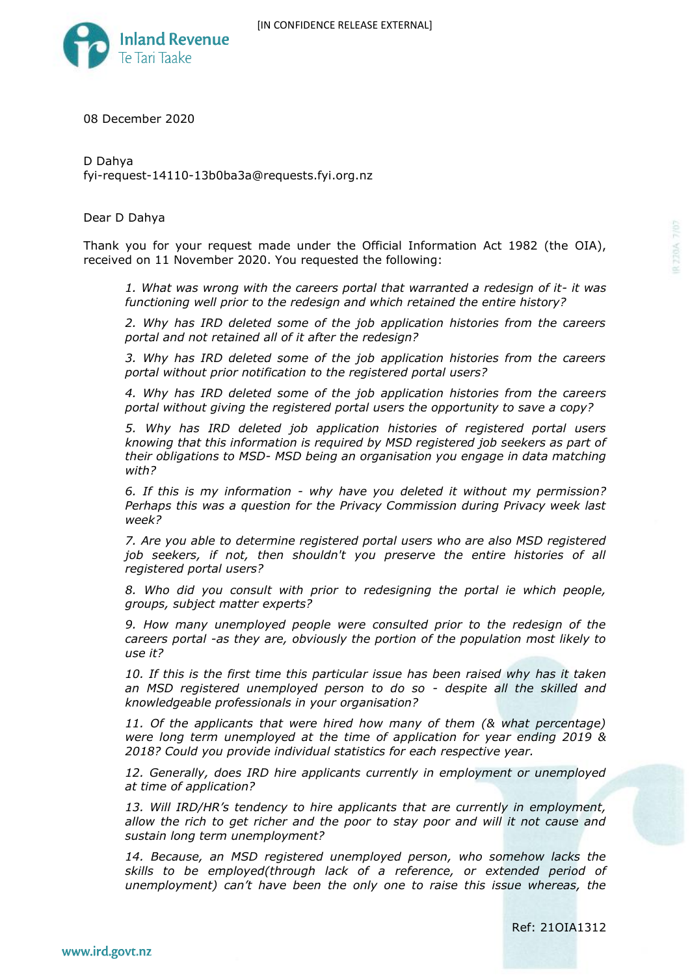

08 December 2020

D Dahya fyi-request-14110-13b0ba3a@requests.fyi.org.nz

Dear D Dahya

Thank you for your request made under the Official Information Act 1982 (the OIA), received on 11 November 2020. You requested the following:

*1. What was wrong with the careers portal that warranted a redesign of it- it was functioning well prior to the redesign and which retained the entire history?*

*2. Why has IRD deleted some of the job application histories from the careers portal and not retained all of it after the redesign?*

*3. Why has IRD deleted some of the job application histories from the careers portal without prior notification to the registered portal users?*

*4. Why has IRD deleted some of the job application histories from the careers portal without giving the registered portal users the opportunity to save a copy?*

*5. Why has IRD deleted job application histories of registered portal users knowing that this information is required by MSD registered job seekers as part of their obligations to MSD- MSD being an organisation you engage in data matching with?*

*6. If this is my information - why have you deleted it without my permission? Perhaps this was a question for the Privacy Commission during Privacy week last week?*

*7. Are you able to determine registered portal users who are also MSD registered job seekers, if not, then shouldn't you preserve the entire histories of all registered portal users?*

*8. Who did you consult with prior to redesigning the portal ie which people, groups, subject matter experts?*

*9. How many unemployed people were consulted prior to the redesign of the careers portal -as they are, obviously the portion of the population most likely to use it?*

*10. If this is the first time this particular issue has been raised why has it taken an MSD registered unemployed person to do so - despite all the skilled and knowledgeable professionals in your organisation?*

*11. Of the applicants that were hired how many of them (& what percentage) were long term unemployed at the time of application for year ending 2019 & 2018? Could you provide individual statistics for each respective year.*

*12. Generally, does IRD hire applicants currently in employment or unemployed at time of application?*

*13. Will IRD/HR's tendency to hire applicants that are currently in employment, allow the rich to get richer and the poor to stay poor and will it not cause and sustain long term unemployment?*

*14. Because, an MSD registered unemployed person, who somehow lacks the skills to be employed(through lack of a reference, or extended period of unemployment) can't have been the only one to raise this issue whereas, the*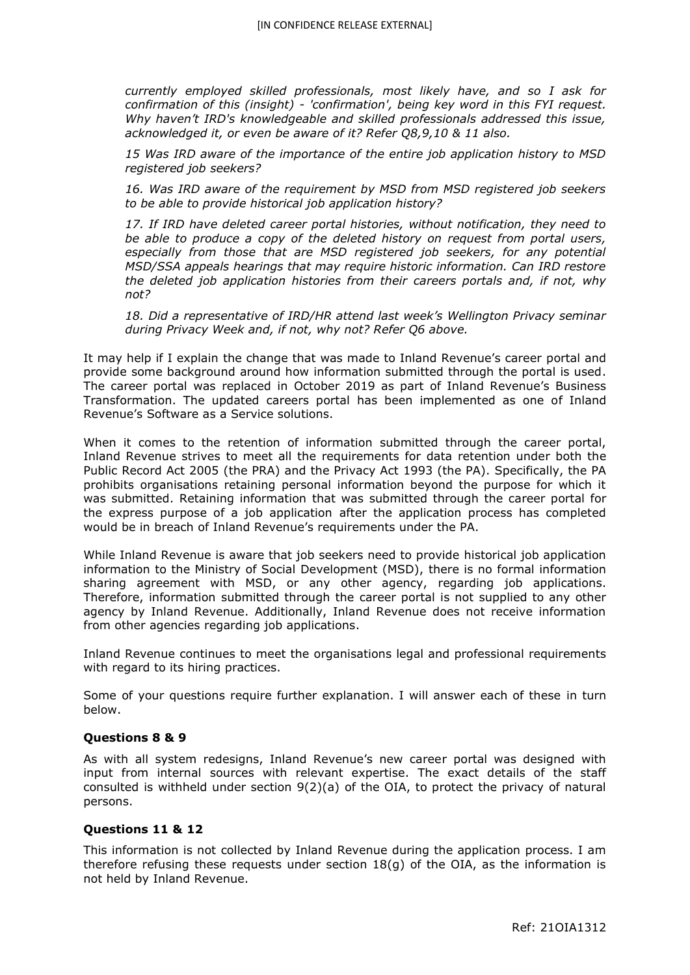*currently employed skilled professionals, most likely have, and so I ask for confirmation of this (insight) - 'confirmation', being key word in this FYI request. Why haven't IRD's knowledgeable and skilled professionals addressed this issue, acknowledged it, or even be aware of it? Refer Q8,9,10 & 11 also.*

*15 Was IRD aware of the importance of the entire job application history to MSD registered job seekers?*

*16. Was IRD aware of the requirement by MSD from MSD registered job seekers to be able to provide historical job application history?*

*17. If IRD have deleted career portal histories, without notification, they need to be able to produce a copy of the deleted history on request from portal users, especially from those that are MSD registered job seekers, for any potential MSD/SSA appeals hearings that may require historic information. Can IRD restore the deleted job application histories from their careers portals and, if not, why not?*

*18. Did a representative of IRD/HR attend last week's Wellington Privacy seminar during Privacy Week and, if not, why not? Refer Q6 above.*

It may help if I explain the change that was made to Inland Revenue's career portal and provide some background around how information submitted through the portal is used. The career portal was replaced in October 2019 as part of Inland Revenue's Business Transformation. The updated careers portal has been implemented as one of Inland Revenue's Software as a Service solutions.

When it comes to the retention of information submitted through the career portal, Inland Revenue strives to meet all the requirements for data retention under both the Public Record Act 2005 (the PRA) and the Privacy Act 1993 (the PA). Specifically, the PA prohibits organisations retaining personal information beyond the purpose for which it was submitted. Retaining information that was submitted through the career portal for the express purpose of a job application after the application process has completed would be in breach of Inland Revenue's requirements under the PA.

While Inland Revenue is aware that job seekers need to provide historical job application information to the Ministry of Social Development (MSD), there is no formal information sharing agreement with MSD, or any other agency, regarding job applications. Therefore, information submitted through the career portal is not supplied to any other agency by Inland Revenue. Additionally, Inland Revenue does not receive information from other agencies regarding job applications.

Inland Revenue continues to meet the organisations legal and professional requirements with regard to its hiring practices.

Some of your questions require further explanation. I will answer each of these in turn below.

## **Questions 8 & 9**

As with all system redesigns, Inland Revenue's new career portal was designed with input from internal sources with relevant expertise. The exact details of the staff consulted is withheld under section 9(2)(a) of the OIA, to protect the privacy of natural persons.

## **Questions 11 & 12**

This information is not collected by Inland Revenue during the application process. I am therefore refusing these requests under section 18(g) of the OIA, as the information is not held by Inland Revenue.